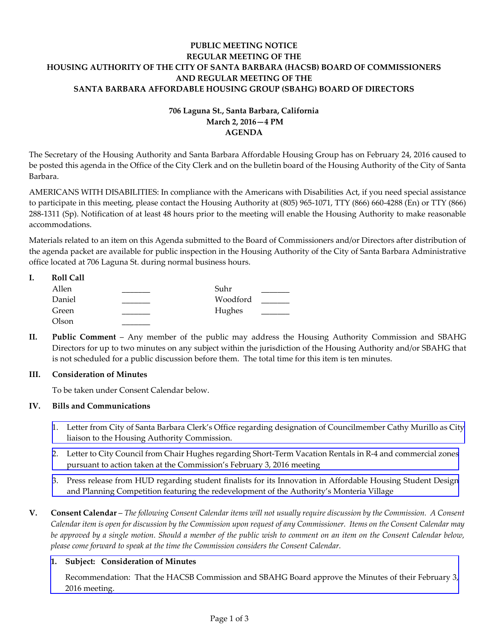# **PUBLIC MEETING NOTICE REGULAR MEETING OF THE HOUSING AUTHORITY OF THE CITY OF SANTA BARBARA (HACSB) BOARD OF COMMISSIONERS AND REGULAR MEETING OF THE SANTA BARBARA AFFORDABLE HOUSING GROUP (SBAHG) BOARD OF DIRECTORS**

# **706 Laguna St., Santa Barbara, California March 2, 2016—4 PM AGENDA**

The Secretary of the Housing Authority and Santa Barbara Affordable Housing Group has on February 24, 2016 caused to be posted this agenda in the Office of the City Clerk and on the bulletin board of the Housing Authority of the City of Santa Barbara.

AMERICANS WITH DISABILITIES: In compliance with the Americans with Disabilities Act, if you need special assistance to participate in this meeting, please contact the Housing Authority at (805) 965‐1071, TTY (866) 660‐4288 (En) or TTY (866) 288‐1311 (Sp). Notification of at least 48 hours prior to the meeting will enable the Housing Authority to make reasonable accommodations.

Materials related to an item on this Agenda submitted to the Board of Commissioners and/or Directors after distribution of the agenda packet are available for public inspection in the Housing Authority of the City of Santa Barbara Administrative office located at 706 Laguna St. during normal business hours.

|  | <b>Roll Call</b> |          |  |
|--|------------------|----------|--|
|  | Allen            | Suhr     |  |
|  | Daniel           | Woodford |  |
|  | Green            | Hughes   |  |
|  | Olson            |          |  |

**II. Public Comment** – Any member of the public may address the Housing Authority Commission and SBAHG Directors for up to two minutes on any subject within the jurisdiction of the Housing Authority and/or SBAHG that is not scheduled for a public discussion before them. The total time for this item is ten minutes.

# **III. Consideration of Minutes**

To be taken under Consent Calendar below.

# **IV. Bills and Communications**

- 1. Letter from City of Santa Barbara Clerk's Office regarding designation of [Councilmember](http://hacsb.org/download/meetings_2016_2/items/03_march/item_IV_I_2016_03_02.pdf) Cathy Murillo as City liaison to the Housing Authority Commission.
- 2. Letter to City Council from Chair Hughes regarding Short‐Term Vacation Rentals in R‐4 and commercial zones pursuant to action taken at the [Commission's](http://hacsb.org/download/meetings_2016_2/items/03_march/item_IV_II_2016_03_02.pdf) February 3, 2016 meeting
- 3. Press release from HUD regarding student finalists for its Innovation in Affordable Housing Student Design and Planning Competition featuring the [redevelopment](http://hacsb.org/download/meetings_2016_2/items/03_march/item_IV_III_2016_03_02.pdf) of the Authority's Monteria Village
- V. Consent Calendar The following Consent Calendar items will not usually require discussion by the Commission. A Consent Calendar item is open for discussion by the Commission upon request of any Commissioner. Items on the Consent Calendar may be approved by a single motion. Should a member of the public wish to comment on an item on the Consent Calendar below, *please come forward to speak at the time the Commission considers the Consent Calendar.*

# **1. Subject: Consideration of Minutes**

[Recommendation:](http://hacsb.org/download/meetings_2016_2/items/03_march/item_V_I_2016_03_02.pdf) That the HACSB Commission and SBAHG Board approve the Minutes of their February 3, 2016 meeting.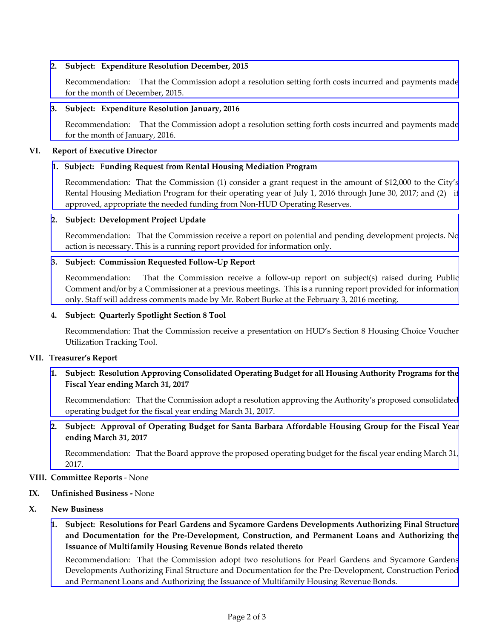# **2. Subject: Expenditure Resolution December, 2015**

[Recommendation:](http://hacsb.org/download/meetings_2016_2/items/03_march/item_V_II_2016_03_02.pdf) That the Commission adopt a resolution setting forth costs incurred and payments made for the month of December, 2015.

### **3. Subject: Expenditure Resolution January, 2016**

[Recommendation:](http://hacsb.org/download/meetings_2016_2/items/03_march/item_V_III_2016_03_02.pdf) That the Commission adopt a resolution setting forth costs incurred and payments made for the month of January, 2016.

### **VI. Report of Executive Director**

### **1. Subject: Funding Request from Rental Housing Mediation Program**

[Recommendation:](http://hacsb.org/download/meetings_2016_2/items/03_march/item_VI_I_2016_03_02.pdf) That the Commission (1) consider a grant request in the amount of \$12,000 to the City's Rental Housing Mediation Program for their operating year of July 1, 2016 through June 30, 2017; and (2) if approved, appropriate the needed funding from Non‐HUD Operating Reserves.

### **2. Subject: Development Project Update**

[Recommendation:](http://hacsb.org/download/meetings_2016_2/items/03_march/item_VI_II_2016_03_02.pdf) That the Commission receive a report on potential and pending development projects. No action is necessary. This is a running report provided for information only.

### **3. Subject: Commission Requested Follow‐Up Report**

[Recommendation:](http://hacsb.org/download/meetings_2016_2/items/03_march/item_VI_III_2016_03_02.pdf) That the Commission receive a follow-up report on subject(s) raised during Public Comment and/or by a Commissioner at a previous meetings. This is a running report provided for information only. Staff will address comments made by Mr. Robert Burke at the February 3, 2016 meeting.

#### **4. Subject: Quarterly Spotlight Section 8 Tool**

Recommendation: That the Commission receive a presentation on HUD's Section 8 Housing Choice Voucher Utilization Tracking Tool.

#### **VII. Treasurer's Report**

# **1. Subject: Resolution Approving Consolidated Operating Budget for all Housing Authority Programs for the Fiscal Year ending March 31, 2017**

[Recommendation:](http://hacsb.org/download/meetings_2016_2/items/03_march/item_VII_I_2016_03_02.pdf) That the Commission adopt a resolution approving the Authority's proposed consolidated operating budget for the fiscal year ending March 31, 2017.

**2. Subject: Approval of Operating Budget for Santa Barbara Affordable Housing Group for the Fiscal Year ending March 31, 2017**

[Recommendation:](http://hacsb.org/download/meetings_2016_2/items/03_march/item_VII_II_2016_03_02.pdf) That the Board approve the proposed operating budget for the fiscal year ending March 31, 2017.

#### **VIII. Committee Reports** ‐ None

#### **IX. Unfinished Business ‐** None

- **X. New Business**
	- **1. Subject: Resolutions for Pearl Gardens and Sycamore Gardens Developments Authorizing Final Structure and Documentation for the Pre‐Development, Construction, and Permanent Loans and Authorizing the Issuance of Multifamily Housing Revenue Bonds related thereto**

[Recommendation:](http://hacsb.org/download/meetings_2016_2/items/03_march/item_X_I_2016_03_02.pdf) That the Commission adopt two resolutions for Pearl Gardens and Sycamore Gardens Developments Authorizing Final Structure and Documentation for the Pre‐Development, Construction Period and Permanent Loans and Authorizing the Issuance of Multifamily Housing Revenue Bonds.